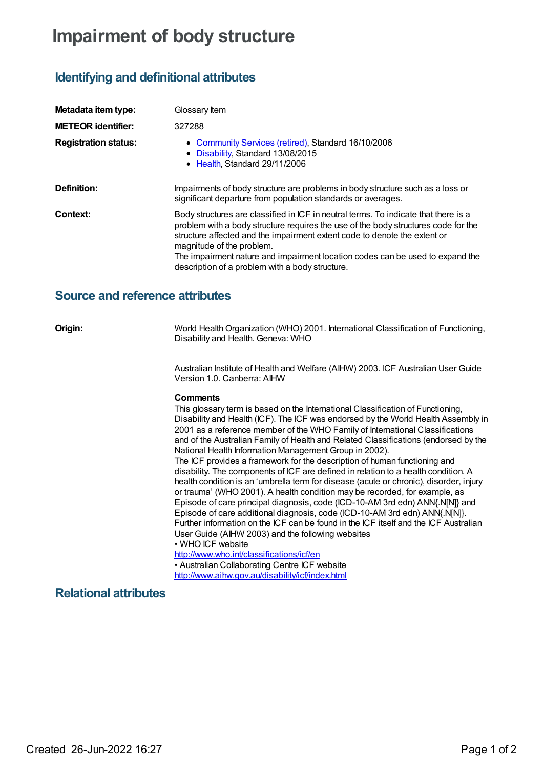# **Impairment of body structure**

## **Identifying and definitional attributes**

| Metadata item type:         | Glossary Item                                                                                                                                                                                                                                                                                                                                                                                                           |
|-----------------------------|-------------------------------------------------------------------------------------------------------------------------------------------------------------------------------------------------------------------------------------------------------------------------------------------------------------------------------------------------------------------------------------------------------------------------|
| <b>METEOR identifier:</b>   | 327288                                                                                                                                                                                                                                                                                                                                                                                                                  |
| <b>Registration status:</b> | • Community Services (retired), Standard 16/10/2006<br>• Disability, Standard 13/08/2015<br>• Health, Standard 29/11/2006                                                                                                                                                                                                                                                                                               |
| Definition:                 | Impairments of body structure are problems in body structure such as a loss or<br>significant departure from population standards or averages.                                                                                                                                                                                                                                                                          |
| Context:                    | Body structures are classified in ICF in neutral terms. To indicate that there is a<br>problem with a body structure requires the use of the body structures code for the<br>structure affected and the impairment extent code to denote the extent or<br>magnitude of the problem.<br>The impairment nature and impairment location codes can be used to expand the<br>description of a problem with a body structure. |

### **Source and reference attributes**

**Origin:** World Health Organization (WHO) 2001. International Classification of Functioning, Disability and Health. Geneva: WHO

> Australian Institute of Health and Welfare (AIHW) 2003. ICF Australian User Guide Version 1.0. Canberra: AIHW

### **Comments**

This glossary term is based on the International Classification of Functioning, Disability and Health (ICF). The ICF was endorsed by the World Health Assembly in 2001 as a reference member of the WHO Family of International Classifications and of the Australian Family of Health and Related Classifications (endorsed by the National Health Information Management Group in 2002).

The ICF provides a framework for the description of human functioning and disability. The components of ICF are defined in relation to a health condition. A health condition is an 'umbrella term for disease (acute or chronic), disorder, injury or trauma' (WHO 2001). A health condition may be recorded, for example, as Episode of care principal diagnosis, code (ICD-10-AM 3rd edn) ANN{.N[N]} and Episode of care additional diagnosis, code (ICD-10-AM 3rd edn) ANN{.N[N]}. Further information on the ICF can be found in the ICF itself and the ICF Australian User Guide (AIHW 2003) and the following websites

• WHO ICF website

<http://www.who.int/classifications/icf/en> • Australian Collaborating Centre ICF website

<http://www.aihw.gov.au/disability/icf/index.html>

### **Relational attributes**